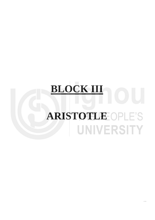# **BLOCK III ARISTOTLE OPLE'S** UNIVERSITY

 $\ddot{\phantom{1}}$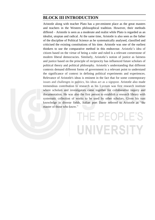### **BLOCK III INTRODUCTION**

Aristotle along with teacher Plato has a pre-eminent place as the great masters and teachers in the Western philosophical tradition. However, their methods differed – Aristotle is seen as a moderate and realist while Plato is regarded as an idealist, utopian and radical. At the same time, Aristotle is also seen as the father of the discipline of Political Science as he systematically analysed, classified and criticised the existing constitutions of his time. Aristotle was one of the earliest thinkers to use the comparative method in this endeavour. Aristotle's idea of citizen based on the virtue of being a ruler and ruled is a relevant cornerstone of modern liberal democracies. Similarly, Aristotle's notion of justice as fairness and justice based on the principle of reciprocity has influenced future scholars of political theory and political philosophy. Aristotle's understanding that different contexts demand different forms of government is a relevant point to understand the significance of context in defining political experiments and experiences. Relevance of Aristotle's ideas is eminent in the fact that for some contemporary issues and challenges in politics, his ideas act as a signpost. Aristotle also made tremendous contribution to research as his Lyceum was first research institute where scholars and investigators came together for collaborative inquiry and documentation. He was also the first person to establish a research library with systematic collection of works to be used by other scholars. Given his vast knowledge in diverse fields, Italian poet Dante referred to Aristotle as "the master of those who know."

## THE PEOPLE'S UNIVERSITY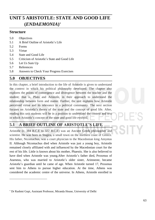## **Aristotle: State and UNIT Good Life 5 ARISTOTLE: STATE AND GOOD LIFE (***ENDAEMONIA***) ⁎**

#### **Structure**

- 5.0 Objectives
- 5.1 A Brief Outline of Aristotle's Life
- 5.2 Forms
- 5.3 Virtue
- 5.4 State and Good Life
- 5.5 Criticism of Aristotle's State and Good Life
- 5.6 Let Us Sum Up
- 5.7 References

1

5.8 Answers to Check Your Progress Exercises

## **5.0 OBJECTIVES**

In this chapter, a brief introduction to the life of Aristotle is given to understand the context in which his political philosophy developed. The chapter also explores the points of convergence and divergence between the teacher and the student; that is, Plato and Aristotle, in their approach to understand the relationship between form and matter. Further, the unit explains how Aristotle perceived virtue and its relevance in a political community. The next section focuses on Aristotle's theory of the state and the concept of good life. After, reading this unit students will be in a position to understand the context and text in which Aristotle's concept of the state and good life evolved.

## **5.1 A BRIEF OUTLINE OF ARISTOTLE'S LIFE**

Aristotle (c. 384 B.C.E to 322 B.C.E) was an Ancient Greek philosopher and scientist. He was born in Stagira, a small town on the northern coast of Greece. His father, Nicomachus, was a court physician to the Macedonian king Amyntas II. Although Nicomachus died when Aristotle was just a young boy, Aristotle remained closely affiliated with and influenced by the Macedonian court for the rest of his life. Little is known about his mother, Phaestis. She is also believed to have died when Aristotle was young.After Aristotle's father died, Proxenus of Atarneus, who was married to Aristotle's older sister, Arimneste, became Aristotle's guardian until he came of age. When Aristotle turned 17, Proxenus sent him to Athens to pursue higher education. At the time, Athens was considered the academic centre of the universe. In Athens, Aristotle enrolled in

<sup>⁎</sup> Dr Rashmi Gopi, Assistant Professor, Miranda House, University of Delhi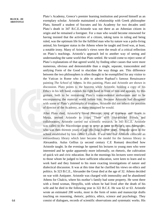Plato's Academy, Greece's premier learning institution and proved himself as an exemplary scholar. Aristotle maintained a relationship with Greek philosopher Plato, himself a student of Socrates and his Academy for two decades until Plato's death in 347 B.C.E.Aristotle was not there as an Athenian citizen in origin and he remained a foreigner. For a man who would become renowned for having insisted that the activities of a citizen, taking turns in ruling and being ruled, was the optimum life for the fulfilled man who by nature was a polis-living animal, his foreigner status in the Athens where he taught and lived was, at least, a notable irony. Many of Aristotle's views were the result of a critical reflection on Plato's teachings. Aristotle's approach led to another way of seeing and understanding the same world that Plato settled. He would come to reject some of Plato's explanations of that agreed world, by finding other causes that were more numerous, obvious and demonstrable than a single, separate, transcendent and unifying Form of the Good to elucidate the way things are. This difference between the two philosophers is often thought to be exemplified for any visitor to the Vatican in Rome who is able to admire Raphael's famous Renaissance painting *The School of* Athens. In this painting, Plato and Aristotle are shown in discussion. Plato points to the heavens while Aristotle, holding a copy of his *Ethics* in his left hand, extends his right hand in front of him and appears, by this gesture, both to be restraining Plato's transcendental enthusiasm and to be encompassing the material world before him. Because Aristotle had disagreed with some of Plato's philosophical treatises, Aristotle did not inherit the position of director of the Academy, as many imagined he would.

After Plato died, Aristotle's friend Hermias, king of Atarneus and Assos in Mysia, invited Aristotle to court. There with like-minded friends and collaborators, Aristotle carried out scientific research. In 343 B.C.E. Aristotle was called to the Macedonian court to serve as tutor to Philip's son, Alexander, who was then thirteen years of age. His final twelve years, Aristotle spent in the school established by him called Lyceum. It was said that Aristotle collected an extraordinary library which later became the model for the famous library in Alexandria. Aulus Gellius (a second century C.E Roman) described how Aristotle taught. In the evenings he opened his lectures to young men who were interested and he spoke apparently more informally, on rhetoric, the cultivation of quick wit and civic education. But in the mornings his lectures were restricted to those whom he judged to have sufficient education, were keen to learn and to work hard and they listened to his more exacting investigations of nature and dialectical discussion. It was at this time that he clarified his views on ethics and politics. In 323 B.C.E., Alexander the Great died at the age of 32. Athens decided on war with Antipater. Aristotle was charged with immorality and he abandoned Athens for Chalcis, where his mother's family had some property. He went there with a freed woman, Herpyllis, with whom he had lived after the death of his wife and he died in the following year in 322 B.C.E. He was 62 or 63. Aristotle wrote an estimated 200 works, most in the form of notes and manuscript drafts touching on reasoning, rhetoric, politics, ethics, science and psychology. They consist of dialogues, records of scientific observations and systematic works. His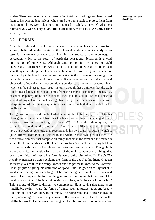student Theophrastus reportedly looked after Aristotle's writings and later passed them to his own student Neleus, who stored them in a vault to protect them from moisture until they were taken to Rome and used by scholars there. Of Aristotle's estimated 200 works, only 31 are still in circulation. Most date to Aristotle's time at the Lyceum.

#### **5.2 FORMS**

Aristotle positioned sensible particulars at the centre of his enquiry. Aristotle strongly believed in the reality of the physical world and in its study as an essential instrument of knowledge. For him, the source of our knowledge is perception which is the result of particular sensations. Sensation is a vital precondition of knowledge. Although sensation on its own does not yield knowledge. Experience, for Aristotle, is a kind of knowledge of individual somethings. But the principles or foundations of this knowledge are reached or revealed by induction from sensation. Induction is the process of reasoning from particular cases to general conclusions. Knowledge relies on induction and observation. Induction and observation give rise to commonly accepted views which can be subject to error. But it is only through these opinions that the truth can be teased out. Knowledge comes from the psyche's capacity to generalise, based on its perception of particulars and these generalizations are then subject to a kind of logical or rational testing. Knowledge then depends on the correct interpretation of that direct acquaintance with individuals that is provided by the bodily senses.

Though Aristotle learned much of what he knew about philosophy from Plato, his ideas grew so far removed from his teacher's that he directly challenged many Platonic ideas in his writing. In *Book VII* of Aristotle's *Metaphysics*, he particularly mentions the theory of 'forms' which Plato introduced in his text, *The Republic*. Aristotle then recommends his own theory of forms, which is quite different from Plato's. Both Plato and Aristotle acknowledged that there are two critical elements that compose all things that exist: the form and the matter in which the form manifests itself. However, Aristotle's reflection of being led him to disagree with Plato on the relationship between form and matter. Though both Plato and Aristotle mention form as one of the main components of things that exist, their ideas of just what form is were quite dissimilar. In Plato's *The Republic*, narrator Socrates explains the 'form of the good' to his friend Glaucon as 'what gives truth to the things known and the power to know to the knower'. He might just be giving his definition of 'good,' until he goes on to say that 'the good is not being, but something yet beyond being, superior to it in rank and power'. He compares the form of the good to the sun, saying that the form of the good is 'sovereign of the intelligible kind and place, as is the sun of the visible.' This analogy of Plato is difficult to comprehend. He is saying that there is an 'intelligible realm' where the forms of things such as justice, good and beauty can only be conceived of with the mind. The representations of these things on Earth, according to Plato, are just weak reflections of the perfect forms in the intelligible world. He believes that the goal of a philosopher is to come to know

**Aristotle: State and Good Life**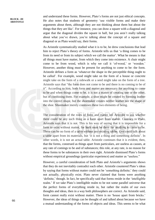and understand these forms. However, Plato's forms are not just ethical concepts. He also notes that students of geometry 'use visible forms and make their arguments about them, although they are not thinking about them but about the things that they are like'. For instance, you can draw a square with a diagonal and argue that the diagonal divides the square in half, but you aren't really talking about what you've drawn, you're talking about the concept of a square and diagonal or as Plato would say, their forms.

As Aristotle systematically studied what it is to be, he drew conclusions that lead him to reject Plato's theory of forms. Aristotle tells us that 'a thing comes to be from its need or from its subject which we call the matter'. What he means is that all things must have matter, from which they come into existence. A chair might come to be from wood, which is why we call it 'of-wood,' or 'wooden.' However, another thing must be present for anything to come to be: the form. Aristotle defines a form as 'whatever the shape in the perceptible thing ought to be called'. For example, wood might take on the form of a house or concrete might take on the form of a sidewalk or a seed might take on the form of a tree. Aristotle says that "the form does not come to be and there is no coming to be of it". According to him, both form and matter are necessary for anything to come to be and when things come to be, it is not a matter of creating one or the other, but of combining them. For example, a shoe might be created by forming leather into the correct shape, but the shoemaker creates neither leather nor the shape of the shoe. Shoemaker merely combines these two elements of being.

The consideration of the roles of form and matter led Aristotle to ask whether there could be any such thing as a form apart from matter. Contrary to Plato, Aristotle says that it is not. This is his way of saying that it is impossible for a form to exist without matter, for both must be there for anything to come to be. There can be no form of a table without any existing tables. One could talk about a table apart from its materials, but 'it is not a thing and something definite'. In other words, it is not an actual table. Aristotle continues that it is evident, then, that the forms, construed as things apart from particulars, are useless as causes, at any rate of comings to be and of substances; this role, at any rate, is no reason for these forms to be substances in their own right. Aristotle dismissed Plato's forms without empirical groundings (particular experience) and matter as "useless."

However, a careful consideration of both Plato and Aristotle's arguments shows that they do not inevitably contradict each other. Aristotle countered Plato's ideas by saying that forms without matter could not be 'something definite;' they could not actually, physically exist. Plato never claimed that forms were anything 'definite,' though. In fact, he specifically said that forms reside in the 'intelligible realm.' If we take Plato's intelligible realm to be not some parallel universe that the perfect forms of everything reside in, but rather the realm of our own thoughts and ideas, then in a way both philosophers are correct. As Aristotle said, form cannot really exist without matter. There is no 'house apart from bricks.' However, the ideas of things can be thought of and talked about because we have a mutual understanding of the forms of objects and ideas. This seems to be what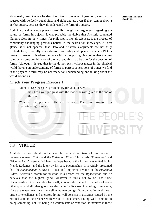Plato really meant when he described forms. Students of geometry can discuss squares with perfectly equal sides and right angles, even if they cannot draw a perfect square, because they all understand the form of a square.

Both Plato and Aristotle present carefully thought out arguments regarding the nature of forms in objects. It was probably inevitable that Aristotle countered Platonic ideas in his writings, for philosophy, like all sciences, is the process of continually challenging previous beliefs in the search for knowledge. At first glance, it is not apparent that Plato and Aristotle's arguments are not truly contradictory, especially when Aristotle so readily and openly denounces Plato's theory. However, it is often the case with two opposing viewpoints that the best solution is some combination of the two, and this may be true for the question of forms. Although it is true that forms do not exist without matter in the physical world, having an understanding of forms as perfect conceptions of things we find in the physical world may be necessary for understanding and talking about the world around us.

#### **Check Your Progress Exercise 1**

- Note: i) Use the space given below for your answer. ii) Check your progress with the model answer given at the end of the unit.
- 1. What is the primary difference between Plato and Aristotle in understanding 'forms'?

…………………………………………………………………………...…… …………………………………………………………………………...…… …………………………………………………………………………...…… …………………………………………………………………………...…… …………………………………………………………………………...…… …………………………………………………………………………...……

## **5.3 VIRTUE**

Aristotle' views about virtue can be located in two of his works : the *Nicomachean Ethics* and the *Eudemian Ethics*. The words "*Eudemian*" and "*Nicomachean*" were added later, perhaps because the former was edited by his friend, Eudemus, and the latter by his son, Nicomachus. It is widely presumed that the *Nicomachean Ethics* is a later and improved version of the *Eudemian Ethics*. Aristotle's search for *the* good is a search for the *highest* good and he believes that the highest good, whatever it turns out to be, has three characteristics: it is desirable for itself, it is not desirable for the sake of some other good and all other goods are desirable for its sake. According to Aristotle, if we use reason well, we live well as human beings. Doing anything well needs virtue or excellence and therefore living well consists in activities caused by the rational soul in accordance with virtue or excellence. Living well contains in doing something, not just being in a certain state or condition. It involves in those

**Aristotle: State and Good Life**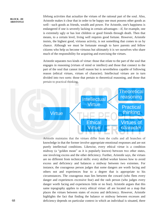lifelong activities that actualize the virtues of the rational part of the soul. Also, Aristotle makes it clear that in order to be happy one must possess other goods as well—such goods as friends, wealth and power. For Aristotle, one's happiness is endangered if one is severely lacking in certain advantages—if, for example, one is extremely ugly or has lost children or good friends through death. Then that means, to a certain level, living well requires good fortune. However, Aristotle insists, the highest good, virtuous activity, is not something that comes to us by chance. Although we must be fortunate enough to have parents and fellow citizens who help us become virtuous but ultimately it is we ourselves who share much of the responsibility for acquiring and exercising the virtues.

Aristotle separates two kinds of virtue: those that relate to the part of the soul that engages in reasoning (virtues of mind or intellect) and those that connect to the part of the soul that cannot itself reason but is nevertheless capable of following reason (ethical virtues, virtues of character). Intellectual virtues are in turn divided into two sorts: those that pertain to theoretical reasoning, and those that pertain to practical thinking.



Aristotle maintains that the virtues differ from the crafts and all branches of knowledge in that the former involve appropriate emotional responses and are not purely intellectual conditions. Likewise, every ethical virtue is a condition midway (a "golden mean" as it is popularly known) between two other states, one involving excess and the other deficiency. Further, Aristotle says, the virtues are no different from technical skills: every skilled worker knows how to avoid excess and deficiency and balances a midway between two extremes. For instance, the courageous person judges that some dangers are worth facing and others not and experiences fear to a degree that is appropriate to his circumstances. The courageous man lies between the coward (who flees every danger and experiences excessive fear) and the rash person (who judges every danger worth facing and experiences little or no fear). Aristotle argues that this same topography applies to every ethical virtue: all are located on a map that places the virtues between states of excess and deficiency. However, Aristotle highlights the fact that finding the balance or midway between excesses and deficiency depends on particular context in which an individual is situated, there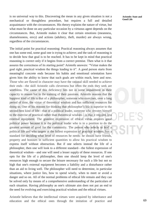is no universal way to this. Discovering the mean in any given situation is not a mechanical or thoughtless procedure, but requires a full and detailed acquaintance with the circumstances. His theory explains the nature of virtue, but what must be done on any particular occasion by a virtuous agent depends on the circumstances. But, Aristotle makes it clear that certain emotions (meanness, shamelessness, envy) and actions (adultery, theft, murder) are always wrong, regardless of the circumstances.

The initial point for practical reasoning: Practical reasoning always assumes that one has some end, some goal one is trying to achieve; and the task of reasoning is to decide how that goal is to be reached. It has to be kept in mind that practical reasoning is correct only if it begins from a correct premise. Then what is it that assures the correctness of its starting point? Aristotle answers: "Virtue makes the goal right, practical wisdom the things leading to it". A good person starts from meaningful concrete ends because his habits and emotional orientation have given him the ability to know that such goals are within reach, here and now. Those who are flawed in character may have the rational skill needed to achieve their ends—the skill Aristotle calls cleverness but often the ends they seek are worthless. The cause of this deficiency lies not in some impairment in their capacity to reason but in the training of their passions. Aristotle reasons that the happiest kind of life is that of a philosopher, someone who exercises, over a long period of time, the virtue of theoretical wisdom and has sufficient resources for doing so. One of his reasons for thinking that philosopher's life is superior to the second-best kind of life—that of a political leader, someone who devotes himself to the exercise of practical rather than theoretical wisdom—is that it requires less external equipment. The grandest expression of ethical virtue requires great political power because it is the political leader who is in a position to do the greatest amount of good for the community. The person who selects to lead a political life and who targets at the fullest expression of practical wisdom, has a standard for deciding what level of resources he needs: he should have friends, property and honours in sufficient quantities to allow his practical wisdom to express itself without obstruction. But if one selects instead the life of a philosopher, then one will look to a different standard—the fullest expression of theoretical wisdom—and one will need a lesser supply of these resources. If one opts for the life of a philosopher, then one should keep the level of one's resources high enough to secure the leisure necessary for such a life but not so high that one's external equipment becomes a liability and a disturbance rather than an aid to living well. The philosopher will need to determine, in particular situations, where justice lies, how to spend wisely, when to meet or avoid a danger and so on. All of the normal problems of ethical life remain and they can be solved only by means of a comprehensive understanding of the particulars of each situation. Having philosophy as one's ultimate aim does not put an end to the need for evolving and exercising practical wisdom and the ethical virtues.

Aristotle believes that the intellectual virtues were acquired by inheritance and education and the ethical ones through the imitation of practice and

**Aristotle: State and Good Life**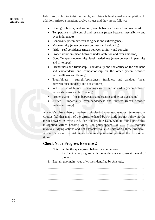#### **BLOCK –III ARISTOTI F**

habit. According to Aristotle the highest virtue is intellectual contemplation. In addition, Aristotle mentions twelve virtues and they are as follows:

- Courage bravery and valour (mean between cowardice and rashness)
- Temperance self-control and restraint (mean between insensibility and over-indulgence)
- Generosity (mean between stinginess and extravagance)
- Magnanimity (mean between pettiness and vulgarity)
- Pride self-confidence (mean between timidity and conceit)
- Proper ambition (mean between under-ambition and over-ambition)
- Good Temper equanimity, level headedness (mean between impassivity and ill-temper)
- Friendliness and friendship conviviality and sociability on the one hand and camaraderie and companionship on the other (mean between unfriendliness and flattery)
- Truthfulness straightforwardness, frankness and candour (mean between false modesty and boastfulness)
- Wit sense of humor meaninglessness and absurdity (mean between humourlessness and buffoonery)
- Proper shame (mean between shamelessness and excessive shame)
- Justice impartiality, even-handedness and fairness (mean between malice and envy)

Aristotle's virtue theory has been criticised for various reasons. Scholars like Grotius feel that many of the virtues enlisted by Aristotle are not following the mean between extreme vices. For thinkers like Kant, without moral principles, misapplied virtues become vices. For philosophers like J.S. Mill, morality involves judging actions and not character traits. In spite of all these criticism', Aristotle's vision on virtues are reference points for political theorists of all times.

#### **Check Your Progress Exercise 2**

Note: i) Use the space given below for your answer.

- ii) Check your progress with the model answer given at the end of the unit.
- 1. Explain two main types of virtues identified by Aristotle.

…………………………………………………………………………...…… …………………………………………………………………………...……  $\mathcal{L}^{\text{max}}$ …………………………………………………………………………...……  $\mathcal{L}^{(n)}$  $\mathcal{L}^{\text{max}}_{\text{max}}$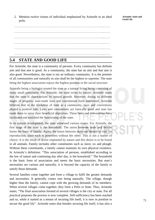2. Mention twelve virtues of individual emphasised by Aristotle in an ideal polis.

…………………………………………………………………………...…… …………………………………………………………………………...…… …………………………………………………………………………...…… …………………………………………………………………………...…… …………………………………………………………………………...……

## **5.4 STATE AND GOOD LIFE**

For Aristotle, the state is a community of persons. Every community has definite aim and that aim is good. As a community, the state has an aim and that aim is also good. Nevertheless, the state is not an ordinary community. It is the premier of all communities and naturally its aim shall be the highest or supreme. The state being the highest association enjoys the highest position in the social structure.

Aristotle being a biologist treated the state as a natural living being consisting of many small parts/units. For Aristotle, the state exists by nature. Aristotle states that the state is characterized by natural growth. However, during its different stages of progress, man-made laws and conventions have intervened. Aristotle believes that in the evolution of state as a community, laws and conventions played a positive role. Laws and conventions are basically good and man has made them to serve their beneficial objectives. These laws and conventions have facilitated and enriched the functioning of the state.

In its natural development, the state witnessed various stages. For Aristotle, the first stage of the state is the household. The union between male and female forms the basis of family. Again, the union between male and female is vital for reproduction, since each is powerless without the other. This is not a matter of choice. It is the result of desire implanted by nature and this desire is to be found in all animals. Family includes other constituents such as slave, ox and plough. Without these constituents, a family cannot maintain its own physical existence. In Aristotle's definition: "This association of persons, established according to the law of nature and continuing day after day, is the household." The household is the basic form of association and meets the basic necessities. But man's necessities are various and naturally, it is beyond the capacity of the family to satisfy those demands.

Several families come together and form a village to fulfil the greater demands and necessities. It generally comes into being naturally. The village, though higher than the family, cannot cope with the growing demands of its members. When several villages come together, they form a Polis or State. Thus, Aristotle states, "The final association formed of several villages is the city or state. For all practical purposes the process is now complete. Self-sufficiency has been reached and so, while it started as a means of securing life itself, it is now in position to secure the good life". Aristotle notes that besides securing life itself, it has also a

**Aristotle: State and Good Life**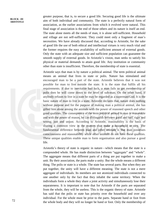greater purpose, that is, to secure a good life. Securing good life is the ultimate aim of both individual and community. The state is a perfectly natural form of association, as the earlier associations from which it evolved were natural. This final stage of association is the end of those others and its nature is itself an end. The state alone meets all the needs of man, it is alone self-sufficient. Household and village are not self-sufficient. They could meet only a fragment of man's necessities. We have already discussed that, according to Aristotle, for the sake of good life the use of both ethical and intellectual virtues is very much vital and the former requires the easy availability of sufficient amount of external goods. Only the state with an adequate size and sufficient population can guarantee the smooth supply of external goods. In Aristotle's vision, man seeks to satisfy his physical or material demands to attain good life. Any institution or community other than state is insufficient. Therefore, the membership of state is essential.

Aristotle says that man is by nature a political animal. The term political animal means an animal that lives in state or polis. Nature has stimulated and encouraged man to be a part of the state. Aristotle believes that it was not possible for man to live outside the state. It is the state that fulfils all his requirements. If due to inevitable bad luck, a man fails to get membership of polis then he will come down to the level of sub-man. On the other hand, if anybody refuses to live in a state he may be regarded as a superman/God. It is the basic nature of man to live in a state. Aristotle declares that, nature does nothing without purpose and for the purpose of making man a political animal, she has gifted him alone among the animals with the power of reasoned speech and other good qualities. The consequence of the term political animal is man is reasonable and with the power of reason, he can distinguish between good and bad; right and wrong; just and unjust. According to Aristotle, reasonability is the basis of sharing a common view in the matters that make a household or city. The fundamental difference between man and other animals is that man possesses consciousness and reasonability while other animals do not have these qualities. These unique qualities enable man to form organisation and also pursue a good life.

Aristotle's theory of state is organic in nature—which means that the state is a compounded whole. He has made distinction between "aggregate" and "whole". The aggregate means that different parts of a thing are put together to make a unit. By their association, the parts make a unity. But the whole means a different thing. The polis or state is a whole. The state has several parts. But when they are put together, the unity will have a different meaning. The state is not a mere aggregate of individuals. Its members are not atomized individuals connected to one another only by the fact that they inhabit the same territory. When the individuals form a whole they share a joint activity and simultaneously lose their separateness. It is important to note that for Aristotle if the parts are separated from the whole, they will be useless. This is the organic theory of state. Aristotle has said that the polis or state has priority over the household and over any individual. For the whole must be prior to the parts. Separate hand or foot from the whole body and they will no longer be hand or foot. Only the membership of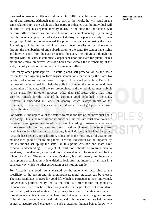state makes man self-sufficient and helps him fulfil his ambition and also to be moral and virtuous. Although man is a part of the whole, he will stand in the same relationship to the whole as other parts. It indicates that the individual will be able to keep his separate identity intact. In the state the individuals will perform different functions, but these functions are complementary. By claiming that the membership of the polis does not destroy the separate identity of man and group, Aristotle has recognised the plurality of parts composing the state. According to Aristotle, the individual can achieve morality and goodness only through the membership of and subordination to the state. He cannot have rights and liberties apart from the state or against the state. The individual, though not merged with the state, is completely dependent upon the state for pursuit of his moral and ethical objectives. Aristotle holds that without the membership of the state, the lofty ideals of individuals will remain unfulfilled.

Like many other philosophers, Aristotle placed self-preservation as the basic reason for man agreeing to form higher associations, particularly the state. No question of compromise can arise in respect of personal protection. But if the purpose of the individual is to help the polis in achieving the common good, then the opinion of the state will always predominate and the individual must submit to the state. For all other purposes, other than self-preservation, man must sacrifice himself for the sake of the common good embodied in the state. Aristotle is embedded in Greek philosophy which always thinks of the community as a whole. The view of the individual cannot get precedence over that of the state.

For Aristotle, the objective of the state is to make the life of the individual noble and happy. This is the most important function. But the state must also look after the security and general welfare of its citizens. According to Aristotle, a real state is concerned with both outward and inward actions of man. If the state makes itself busy only with the outward actions, it will do only half of its functions. Aristotle has stressed upon education. Education is the most powerful weapon for making men good or for training them in virtue. Education can be imparted by the institutions set up by the state. On this point, Aristotle and Plato have common understanding. The object of institutions should be to train men to goodness, to intellectual, moral and physical excellence. The state should be the school of citizens. The state in Aristotle's theory is a reformatory. As the state is the supreme organization, it is entitled to look after the interests of all men in a balanced way which no other association or institution can do.

For Aristotle, the good life is ensured by the state when according to the specificity of the person and his circumstances, moral practices can be chosen. The state facilitates choices for good life which is particular to each individual. For Aristotle, political entity, that is, the state, is a precondition for good life. Human excellence can be realised only under the aegis of correct compulsive norms and just laws of a state. The primary function of the state is character formation as man is not born with characters, but acquire them in a given context. Cultural rules, proper educational training and right laws of the state help human beings to acquire good character. In such a situation, human beings know why

**Aristotle: State and Good Life**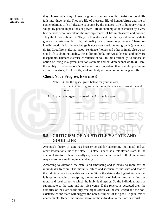they choose what they choose in given circumstances. For Aristotle, good life falls into three levels. They are life of pleasure, life of honour/virtue and life of contemplation. Life of pleasure is sought by the masses. Life of honour/virtue is sought by people in positions of power. Life of contemplation is chosen by a very few persons who understand the incompleteness of life in pleasures and honour. They think more about life. They try to understand the life beyond the immediate given circumstances. For this, rationality is a primary requirement. Therefore, ideally good life for human beings is not about nutrition and growth (plants also do it). Good life is also not about sentience (horses and other animals also do it). Good life is about rationality, the ability to think. For Aristotle, soul and body are inseparable. Humans exercise excellence of soul to think rationally, to choose an option of living in a given situation (animals and children cannot do this). Here, the ability to exercise one's virtue is more important than merely possessing virtue. Therefore, for Aristotle, soul and body act together to define good life.

#### **Check Your Progress Exercise 3**

Note: i) Use the space given below for your answer.

ii) Check your progress with the model answer given at the end of the unit.

1. Explain the organic nature of the Aristotelian state.

…………………………………………………………………………...…… …………………………………………………………………………...…… …………………………………………………………………………...…… …………………………………………………………………………...…… …………………………………………………………………………...…… …………………………………………………………………………...……

### **5.5 CRITICISM OF ARISTOTLE'S STATE AND GOOD LIFE**

Aristotle's theory of state has been criticised for subsuming individual and all other associations under the state. His state is seen as a totalitarian state. In the vision of Aristotle, there is hardly any scope for the individual to think in his own way and to do something independently.

According to Aristotle, the state is all-embracing and it leaves no room for the individual's freedom. The morality, ethics and idealism of the state and that of the individual are inseparable and same. Since the state is the highest association, it is quite capable of accepting the responsibility of helping and enriching the moral and ideal values to which the individual aspires. So the individual must be subordinate to the state and not vice versa. If the reverse is accepted then the authority of the state as the supreme organisation will be challenged and the nonexistence of the state will suggest the non-fulfilment of the goals. Again, this is unacceptable. Hence, the subordination of the individual to the state is a must.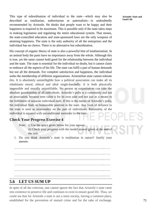This type of subordination of individual to the state—which may also be described as totalitarian, authoritarian or paternalistic—is undoubtedly recommended by Aristotle. He thinks that people want to be happy and their happiness is required to be maximum. This is possible only if the state takes steps in making legislation and regulating the entire educational system. That means, the state-controlled education and state-sponsored laws are the only weapons of attaining happiness. The state is the only authority of all the enterprises and the individual has no choice. There is no alternative but subordination.

His concept of organic theory of state is also a powerful hint of totalitarianism. In an animal body the parts have no importance away from the whole. Although this is true, yet the same cannot hold good for the relationship between the individual and the state. The state is essential for the individual no doubt, but it cannot claim to embrace all the aspects of his life. The state can fulfil a part of human demands but not all the demands. For complete satisfaction and happiness, the individual seeks the membership of different organizations. Aristotelian state cannot tolerate this. It is absolutely unintelligible how a political association can make all its inhabitants moral, ethical and ideal single-handedly. It is both physically impossible and morally unjustifiable. No person or organization can take the absolute guardianship of all individuals. Aristotle's polis is a community and not an association, because men value it for its own sake and not just as a means to the fulfilment of separate individual ends. If this is the nature of Aristotle's polis, the individual finds no honourable position in the state. Any form of defiance to the state is seen as irrationality on the part of individuals. Rationality of the individual is equated with unconditional surrender to the state.

## **Check Your Progress Exercise 4**

- Note: i) Use the space given below for your answer.
	- ii) Check your progress with the model answer given at the end of the unit.
- 1. Do you think Aristotle's state is totalitarian in nature? Justify your answer.

…………………………………………………………………………...…… …………………………………………………………………………...…… …………………………………………………………………………...…… …………………………………………………………………………...…… …………………………………………………………………………...…… …………………………………………………………………………...……

#### **5.6 LET US SUM UP**

In spite of all the criticism, one cannot ignore the fact that Aristotle's state came into existence to preserve life and continues to exist to ensure good life. Thus, we could see that for Aristotle a state is not a mere society, having a common place, established for the prevention of mutual crime and for the sake of exchange.

**Aristotle: State and Good Life**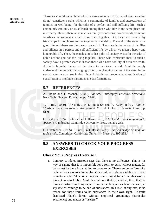These are conditions without which a state cannot exist; but all of them together do not constitute a state, which is a community of families and aggregations of families in well-being, for the sake of a perfect and self-sufficing life. Such a community can only be established among those who live in the same place and intermarry. Hence, there arise in cities family connexions, brotherhoods, common sacrifices, amusements which draw men together. But these are created by friendships for to choose to live together is friendship. The end of the state is the good life and these are the means towards it. The state is the union of families and villages in a perfect and self-sufficient life, by which we mean a happy and honourable life. Then, the conclusion is that political society exists for the sake of noble actions and not for living together. Those who contribute most to such a society have a greater share in it than those who have nobility of birth or wealth. Aristotle brought theory of the state to empirical world. Aristotle amply understood the impact of changing context on changing nature of the state. In the next chapter, we can see in detail how Aristotle has propounded classification of constitution to highlight variations in state formations.

## **5.7 REFERENCES**

A. Skoble and T. Machan. (2007). *Political Philosophy: Essential Selections*. New Delhi: Pearson Education. pp. 53-64.

T. Burns. (2009). 'Aristotle', in D. Boucher and P. Kelly. (eds.). *Political Thinkers: From Socrates to the Present*. Oxford: Oxford University Press. pp. 81-99.

C. Taylor. (1995). 'Politics'. in J. Barnes. (ed.). *The Cambridge Companion to Aristotle.* Cambridge: Cambridge University Press. pp. 232-258.

D. Hutchinson. (1995). 'Ethics', in J. Barnes. (ed.). *The Cambridge Companion to Aristotle.* Cambridge: Cambridge University Press. pp. 195-232.

## **5.8 ANSWERS TO CHECK YOUR PROGRESS EXERCISES**

#### **Check Your Progress Exercise 1**

1. Contrary to Plato, Aristotle says that there is no difference. This is his way of saying that it is impossible for a form to exist without matter, for both must be there for anything to come to be. There can be no form of a table without any existing tables. One could talk about a table apart from its materials, but 'it is not a thing and something definite'. In other words, it is not an actual table. Aristotle continues that it is evident, then, that the forms, construed as things apart from particulars, are useless as causes, at any rate of comings to be and of substances; this role, at any rate, is no reason for these forms to be substances in their own right. Aristotle dismissed Plato's forms without empirical groundings (particular experience) and matter as "useless."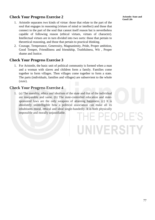### **Check Your Progress Exercise 2**

- 1. Aristotle separates two kinds of virtue: those that relate to the part of the soul that engages in reasoning (virtues of mind or intellect) and those that connect to the part of the soul that cannot itself reason but is nevertheless capable of following reason (ethical virtues, virtues of character). Intellectual virtues are in turn divided into two sorts: those that pertain to theoretical reasoning, and those that pertain to practical thinking.
- 2. Courage, Temperance, Generosity, Magnanimity, Pride, Proper ambition, Good Temper, Friendliness and friendship, Truthfulness, Wit , Proper shame and Justice.

#### **Check Your Progress Exercise 3**

1. For Aristotle, the basic unit of political community is formed when a man and a woman with slaves and children form a family. Families come together to form villages. Then villages come together to form a state. The parts (individuals, families and villages) are subservient to the whole (state).

#### **Check Your Progress Exercise 4**

1. (a) The morality, ethics and idealism of the state and that of the individual are inseparable and same. (b) The state-controlled education and statesponsored laws are the only weapons of attaining happiness. (c) It is absolutely unintelligible how a political association can make all its inhabitants moral, ethical and ideal single-handedly. It is both physically impossible and morally unjustifiable. HE PEOPLE'S

UNIVERSITY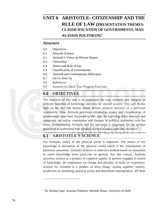## **UNIT 6 ARISTOTLE: CITIZENSHIP AND THE RULE OF LAW (PRESENTATION THEMES: CLASSICIFICATION OF GOVERNMENTS, MAN AS ZOON POLITIKON)⁎**

#### **Structure**

- 6.0 Objectives
- 6.1 Aristotle Science
- 6.2 Aristotle's Views on Human Nature
- 6.3 Citizenship
- 6.4 Justice and Rule of law
- 6.5 Classification of Governments
- 6.6 Aristotle and Contemporary Relevance
- 6.7 Let Us Sum Up
- 6.8 References

 $\overline{a}$ 

6.9 Answers to Check Your Progress Exercises

## **6.0 OBJECTIVES**

The objective of this unit is to understand the way Aristotle saw integrity of different branches of knowledge and how he viewed science. This unit throws light on the fact that human nature defines political structure of a particular community. How Aristotle perceived citizenship, justice and classification of governments have been discussed in this unit. By analysing these concepts and categories, we realise continuities and changes in political discourses over the years. Understanding Aristotle and his relevance is important for the present generation to understand how political science of today came into existence.

## **6.1 ARISTOTLE'S SCIENCE**

For Aristotle, reality of the physical world is important. The source of our knowledge is perception of the physical world which is the consequence of particular sensations. Aristotle believes in inductive method based on sensations to reach knowledge from particular to general. For this reason, Aristotle perceives science as a product of cognitive quality of persons engaged in search of knowledge. He emphasises on change and plurality of truth we experience. Science for Aristotle is a product of three things coming together, namely, production of something, practical action and theoretical contemplation. All three

<sup>⁎</sup> Dr. Rashmi Gopi, Assistant Professor, Miranda House, University of Delhi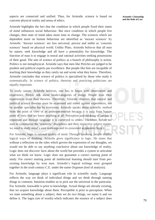aspects are connected and unified. Thus, for Aristotle, science is based on concrete physical reality and arena of ethics.

Aristotle highlights the fact that the condition in which people fixed their states of mind influences social behaviour. But once condition in which people live changes, then state of mind takes more time to change. The sciences which are dependent more on human behaviour are identified as 'inexact sciences' by Aristotle. 'Inexact sciences' are less universal, precise and stable as 'concrete sciences' based on physical world. Unlike Plato, Aristotle believes that all men by nature, seek knowledge and all have a potentiality for knowledge. The function of man is to engage in moral and rational activities seeking possessions of their good. The aim of science of politics as a branch of philosophy is action. Politics is not metaphysical. Aristotle says that men like Pericles are judged to be prudent and political experts par excellence. But people like him are incapable of teaching their knowledge as they rarely sat and wrote what they know. Therefore, Aristotle concludes that science of politics is specialised by those who study it systematically. In science of politics, theorists and practicing politicians are equally important.

To study nature, Aristotle believes, one has to begin with observation and experience. People talk about kinds/categories of things. People trust their experiences more than theories. Therefore, Aristotle observes that natural and political science theories must be examined and tested against experiences, not by another specialist but by everyman. Aristotle speaks about scientific method from the point of view of an anthropocentrism because it is only from human point of view that we know anything at all. Perception and thinking of human is important and through language it is conveyed to others. Therefore, before we start to systematise the 'scientific' disciplines and their respective subject matter, we need to study mind's own workings and its consistent arguments (logic).

For Aristotle, logic is rational quality of mind. Through speaking, people display logical ways of thinking. Aristotle gives significance to logic. He states that without a reflection on the rules which govern the expression of our thoughts, we would not be able to say anything conclusive about our knowledge of reality. Logic does not discover facts about the world but provides a system to articulate what we think we know. Logic does not guarantee a correct starting point of study. For correct starting point all intellectual learning should start from preexisting knowledge by wise men. Aristotle's logical writings were grouped together in the sixth century C.E. under the name *Organon* (tool of analysis).

For Aristotle, language plays a significant role in scientific study. Language reflects the way we think of individual things and we think through naming things in common. Intuition enables us to pick out the universal in the particular. For Aristotle, knowable is prior to knowledge. Actual things are already existing, that we acquire knowledge about them. Perceptible is prior to perception. When we state something about a subject, then we do two things, we name it and we define it. The logos (set of words) which indicates the essence of a subject does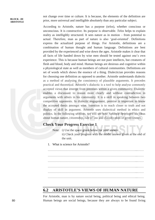not change over time or culture. It is because, the elements of the definition are prior, more universal and intelligible absolutely than any particular subject.

According to Aristotle, nature has a purpose (*telos*), whether conscious or unconscious. It is constructive. Its purpose is observable. *Telos* helps to explain reality as intelligibly structured. It sees nature as in motion – from potential to actual. Therefore, man as part of nature is also 'goal-oriented'. Definitions express the actualized purpose of things. For Aristotle, definitions are a combination of human thought and human language. Definitions are best provided by the experienced and wise down the ages. Aristotle makes it clear that all facts of life handed down by wise men should be tested against one's own experience. This is because human beings are not pure intellects, but creatures of flesh and blood, body and mind. Human beings are desirous and cognitive within a physiological state as well as members of cultural communities. Definitions are set of words which shows the essence of a thing. Dialectician provides reasons for choosing one definition as opposed to another. Aristotle understands dialectic as a method of analysing the consistency of plausible arguments. It precedes practical and theoretical. Aristotle's dialectic is a tool to help analyse commonly accepted views that emerge from premises within a given community. Dialectic enables a discussant to reason more clearly and without contradiction in arguments with others in his community. It is a skill in speaking between two competitive opponents. In dialectic engagement, premise is important to know the accepted thesis amongst wise. Intention is to reach closer to truth and not display of skill in argument. Aristotle uses dialectical method in ethics and politics. In the following sections, we will see how Aristotle developed his ideas about human nature, citizenship, rule of law and classification of governments.

#### **Check Your Progress Exercise 1**

- Note: i) Use the space given below for your answer.
	- ii) Check your progress with the model answer given at the end of the unit.
- 1. What is science for Aristotle?

…………………………………………………………………………...……  $\mathcal{L}^{(n)}$ …………………………………………………………………………...…… …………………………………………………………………………...…… …………………………………………………………………………...……

#### **6.2 ARISTOTLE'S VIEWS OF HUMAN NATURE**

For Aristotle, man is by nature social being, political being and ethical being. Human beings are social beings, because they are always to be found living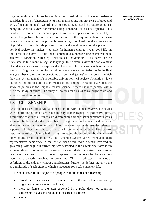together with others in society or in a polis. Additionally, however, Aristotle considers it to be a 'characteristic of man that he alone has any sense of good and evil, of just and unjust'. According to Aristotle, then, man is by nature an ethical being. In Aristotle's view, for human beings a natural life is a life of justice. This is what differentiates the human species from other species of animals. Only if human beings live a life of justice, do they satisfy the requirements of their own nature and thereby, become proper human beings. For Aristotle, the ultimate aim of politics is to enable this process of personal development to take place. It is political society that makes it possible for human beings to live a 'good life' in this sense of the term. To fulfil one's potential as a human being in this way is to achieve a condition called by Aristotle as '*eudaimonia*'. This term can be translated as fulfilment in English language. In Aristotle's view, the achievement of eudaimonia necessarily requires that there be rules or laws which serve as a standard of right and wrong for individual moral agents. For Aristotle, in the final analysis, these rules are the principles of 'political justice' of the polis in which they live. As an ethical life is possible only in political society, Aristotle's views on ethics and politics are closely related to one another. Aristotle states that the study of politics is the 'highest master science' because it incorporates within itself the study of ethics. The study of politics tells us what we ought to do and what we ought not to do.

#### **6.3 CITIZENSHIP**

Aristotle discusses about who a citizen is in his work named *Politics*. He begins with a definition of the citizen, since the city-state is by nature a collective entity, a multitude of citizens. Citizens are differentiated from other inhabitants, such as women, children and elderly members of city-states on the one hand, resident aliens and slaves on the other hand. After more analysis, he defines the citizen as a person who has the right to participate in deliberative or judicial office. For instance, in Athens citizens had the right to attend the assembly, the council and other bodies or to sit on juries. The Athenian system varied from a modern representative democracy in that the citizens were more directly involved in governing. Although full citizenship was restricted in the Greek city-states (with women, slaves, foreigners and some others excluded), the citizens were more deeply enfranchised than in modern representative democracies because they were more directly involved in governing. This is reflected in Aristotle's definition of the citizen (without qualification). Further, he defines the city-state as a multitude of such citizens which is adequate for a self-sufficient life.

He excludes certain categories of people from the ranks of citizenship:

- ""made' citizens" (a sort of honorary title, in the sense that a university might confer an honorary doctorate)
- mere residence in the area governed by a polis does not count as citizenship: slaves and resident aliens are not citizens
- women

#### **Aristotle: Citizenship and the Rule of Law**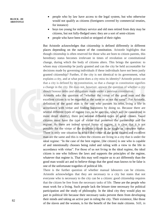- people who by law have access to the legal system, but who otherwise would not qualify as citizens (foreigners covered by commercial treaties, for instance)
- boys too young for military service and old men retired from duty may be citizens, but not fully-fledged ones: they are a sort of semi-citizen
- people who have been exiled or stripped of their rights

But Aristotle acknowledges that citizenship is defined differently in different places depending on the nature of the constitution. Aristotle highlights that though citizenship is often reserved for those who are born to citizen parents, this hereditary status becomes irrelevant in times of revolution or constitutional change, during which the body of citizens alters. This brings the question: to whom may citizenship be justly granted and can the city be held accountable for decisions made by governing individuals if these individuals have not been justly granted citizenship? Further, if the city is not identical to its government, what explains a city, and at what point does a city miss its identity? Aristotle points out that a city is defined by its constitution, so that a change in constitution signifies a change in the city. He does not, however, answer the question of whether a city should honour debts and obligations made under a previous constitution.

Aristotle asks the question of "whether the virtue of the good man and the excellent citizen is to be regarded as the same or as not the same". For Aristotle, definition of the good man is the one who pursues his *telos,* living a life in accordance with virtue and finding happiness by doing so. Because there are several different types of regime (six, to be specific, which will be considered in more detail shortly), there are several different types of good citizen. Good citizens must have the type of virtue that preserves the partnership and the regime. As there are indeed several forms of regime, it is clear that it is not possible for the virtue of the excellent citizen to be single or complete virtue. There is only one situation in which the virtue of the good citizen and excellent man are the same and this is when the citizens are living in a city that is under the ideal regime: "In the case of the best regime, [the citizen] is one who is capable of and intentionally chooses being ruled and ruling with a view to the life in accordance with virtue". For those of us not living in the ideal regime, the ideal citizen is one who follows the laws and supports the principles of the regime, whatever that regime is. That this may well require us to act differently than the good man would act and to believe things that the good man knows to be false is one of the unfortunate tragedies of political life.

There is the further question of whether manual labourers can be citizens. Aristotle acknowledges that they are necessary to a city but states that not everyone who is necessary to the city can be a citizen: good citizenship requires that the citizen be free from the necessary tasks of life. These are the people who must work for a living. Such people lack the leisure time necessary for political participation and the study of philosophy. In the ideal city they would play no part in political life because their necessary tasks prevent them from developing their minds and taking an active part in ruling the city. Their existence, like those of the slaves and the women, is for the benefit of the free male citizens. Still, in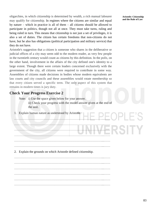oligarchies, in which citizenship is determined by wealth, a rich manual labourer may qualify for citizenship. In regimes where the citizens are similar and equal by nature – which in practice is all of them – all citizens should be allowed to participate in politics, though not all at once. They must take turns, ruling and being ruled in turn. This means that citizenship is not just a set of privileges, it is also a set of duties. The citizen has certain freedoms that non-citizens do not have, but he also has obligations (political participation and military service) that they do not have.

Aristotle's suggestion that a citizen is someone who shares in the deliberative or judicial offices of a city may seem odd to the modern reader, as very few people in the twentieth century would count as citizens by this definition. In the *polis*, on the other hand, involvement in the affairs of the city defined one's identity to a large extent. Though there were certain leaders concerned exclusively with the government of the city, all citizens were required to contribute in some way. Assemblies of citizens made decisions in bodies whose modern equivalents are law courts and city councils and these assemblies would rotate membership so that every citizen served a specific term. The only aspect of this system that remains in modern times is jury duty.

#### **Check Your Progress Exercise 2**

- Note: i) Use the space given below for your answer. ii) Check your progress with the model answer given at the end of the unit.
- 1. Explain human nature as understood by Aristotle. …………………………………………………………………………...…… …………………………………………………………………………...……

…………………………………………………………………………...…… …………………………………………………………………………...…… …………………………………………………………………………...…… …………………………………………………………………………...…… 2. Explain the grounds on which Aristotle defined citizenship. …………………………………………………………………………...……

…………………………………………………………………………...…… …………………………………………………………………………...…… …………………………………………………………………………...…… …………………………………………………………………………...…… **Aristotle: Citizenship and the Rule of Law**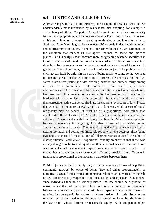#### **6.4 JUSTICE AND RULE OF LAW**

After working with Plato at his Academy for a couple of decades, Aristotle was understandably most influenced by his teacher, also adopting, for example, a virtue theory of ethics. Yet part of Aristotle's greatness stems from his capacity for critical appropriation, and he became arguably Plato's most able critic as well as his most famous follower in wanting to develop a credible alternative to Sophism. Book V of his great *Nicomachean Ethics* deals in detail with the moral and political virtue of justice. It begins arbitrarily with the circular claim that it is the condition that renders us just agents inclined to desire and practice justice. But his analysis soon becomes more enlightening when he specifies it in terms of what is lawful and fair. What is in accordance with the law of a state is thought to be advantageous to the common good and/or to that of its rulers. In general, citizens should obey such law in order to be just. The problem is that civil law can itself be unjust in the sense of being unfair to some, so that we need to consider special justice as a function of fairness. He analyses this into two sorts: distributive justice includes dividing benefits and burdens fairly among members of a community, while corrective justice needs us, in some circumstances, to try to restore a fair balance in interpersonal relations where it has been lost. If a member of a community has been unfairly benefited or burdened with more or less than is deserved in the way of social distributions, then corrective justice can be required, as, for example, by a court of law. Notice that Aristotle is no more an egalitarian than Plato was, while a sort of social reciprocity may be needed, it must be of a proportional sort rather than equal. Like all moral virtues, for Aristotle, justice is a rational mean between bad extremes. Proportional equality or equity involves the "intermediate" position between someone's unfairly getting "less" than is deserved and unfairly getting "more" at another's expense. The "mean" of justice lies between the vices of getting too much and getting too little, relative to what one deserves, these being two opposite types of injustice, one of "disproportionate excess," the other of disproportionate "deficiency". Proportional equality emphasises that those who are equal ought to be treated equally as their circumstances are similar. Those who are not equal in a relevant respect ought not to be treated equally. This means that unequals ought to be treated differently provided the difference in treatment is proportional to the inequality that exists between them.

Political justice is held to apply only to those who are citizens of a political community (a *polis*) by virtue of being "free and either proportionately or numerically equal," those whose interpersonal relations are governed by the rule of law, for law is a prerequisite of political justice and injustice. Nonetheless, since individuals tend to be selfishly biased, the law should be a product of reason rather than of particular rulers. Aristotle is prepared to distinguish between what is naturally just and unjust. He also speaks of a particular system of taxation for some particular society to deliver justice. Aristotle discusses the relationship between justice and decency, for sometimes following the letter of the law would violate fairness or reasonable equity. A decent person might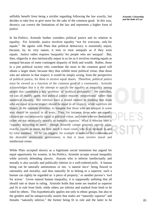selfishly benefit from being a stickler regarding following the law exactly, but decides to take less or give more for the sake of the common good. In this way, decency can correct the limitations of the law and represents a higher form of justice.

In his *Politics*, Aristotle further considers political justice and its relation to equality. For Aristotle, justice involves equality "not for everyone, only for equals." He agrees with Plato that political democracy is essentially unjust, because, by its very nature, it tries to treat unequals as if they were equals. Justice rather requires 'inequality' for people who are 'unequal'. But, then, oligarchy is also intrinsically unjust in so far as it involves treating equals as unequal because of some contingent disparity of birth and wealth. Rather, those in a just political society who contribute the most to the common good will obtain a larger share, because they thus exhibit more political virtue, than those who are inferior in that respect; it would be simply wrong, from the perspective of political justice, for them to receive equal shares. Therefore, political justice must be viewed as a function of the common good of a community. Aristotle acknowledges that it is the attempt to specify the equality or inequality among people that constitutes a key 'problem' of 'political philosophy.' He considers, we can all readily agree, that political justice requires 'proportional' rather than numerical equality. But inferiors have a vested interest in thinking that those who are equal in some respect should be equal in all respects, while superiors are biased, in the opposite direction, to imagine that those who are unequal in some way should be unequal in all ways. Thus, for instance, those who are equally citizens are not necessarily equal in political virtue, and those who are financially richer are not necessarily morally or mentally superior. What is relevant here is "equality according to merit," though Aristotle cannot precisely specify what, exactly, counts as merit, for how much it must count, who is to measure it, and by what standard. All he can suggest, for example in some of his comments on the desirable aristocratic government, is that it must involve moral and intellectual virtue.

While Plato accepted slavery as a legitimate social institution but argued for equal opportunity for women, in his *Politics*, Aristotle accepts sexual inequality while actively defending slavery. Anyone who is inferior intellectually and morally is also socially and politically inferior in a well-ordered *polis*. A human being can be naturally autonomous or not, 'a natural slave' being flawed in rationality and morality, and thus naturally fit to belong to a superior; such a human can rightly be regarded as 'a piece of property,' or another person's 'tool for action.' Given natural human inequality, it is supposedly unfitting that all should rule or share in ruling. Aristotle holds that some are marked as superior and fit to rule from birth, while others are inferior and marked from birth to be ruled by others. This hypothetically applies not only to ethnic groups, but also to the genders and he unequivocally asserts that males are "naturally superior" and females "naturally inferior," the former being fit to rule and the latter to be **Aristotle: Citizenship and the Rule of Law**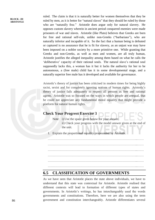ruled. The claim is that it is naturally better for women themselves that they be ruled by men, as it is better for "natural slaves" that they should be ruled by those who are "naturally free." Aristotle does argue only for natural slavery. He opposes custom slavery wherein in ancient period conquered enemies were made prisoners of war and slaves. Aristotle (like Plato) believes that Greeks are born for free and rational self-rule, unlike non-Greeks ("barbarians"), who are naturally inferior and incapable of it. So the fact that a human being is defeated or captured is no assurance that he is fit for slavery, as an unjust war may have been imposed on a nobler society by a more primitive one. While granting that Greeks and non-Greeks, as well as men and women, are all truly human, Aristotle justifies the alleged inequality among them based on what he calls the 'deliberative' capacity of their rational souls. The natural slave's rational soul supposedly lacks this, a woman has it but it lacks the authority for her to be autonomous, a (free male) child has it in some developmental stage, and a naturally superior free male has it developed and available for governance.

Aristotle's theory of justice has been criticised in modern times for being highly racist, sexist and for completely ignoring notions of human rights. Aristotle's theory of justice fails adequately to respect all persons as free and rational agents. Aristotle was so focused on the ways in which people are *un*equal, that he could not appreciate any fundamental moral equality that might provide a platform for natural human rights.

#### **Check Your Progress Exercise 3**

- Note: i) Use the space given below for your answer.
	- ii) Check your progress with the model answer given at the end of the unit.
- 1. Explain the proportional equality propounded by Aristotle.

…………………………………………………………………………...…… …………………………………………………………………………...…… …………………………………………………………………………...…… …………………………………………………………………………...…… …………………………………………………………………………...…… …………………………………………………………………………...……

#### **6.5 CLASSIFICATION OF GOVERNMENTS**

As we have seen that Aristotle places the state above individuals, we have to understand that this state was contextual for Aristotle. Aristotle realised that different contexts will lead to formation of different types of states and governments. In Aristotle's writings, he has interchangeably used the words governments and constitutions. Therefore, here we are also using the term government and constitution interchangeably. Aristotle differentiates several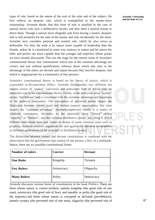types of rule, based on the nature of the soul of the ruler and of the subject. He first reflects on despotic rule, which is exemplified in the master-slave relationship. Aristotle thinks that this form of rule is justified in the case of natural slaves who lack a deliberative faculty and thus need a natural master to direct them. Though a natural slave allegedly aids from having a master, despotic rule is still primarily for the sake of the master and only incidentally for the slave. Aristotle next considers paternal and marital rule, which he also views as defensible. For him, the male is by nature more capable of leadership than the female, unless he is constituted in some way contrary to nature and by nature the elder and perfect are more capable than the younger and imperfect (these points we have already discussed). This sets the stage for the central claim of Aristotle's constitutional theory that constitutions which aim at the common advantage are correct and just without qualification, whereas those which aim only at the advantage of the rulers are deviant and unjust because they involve despotic rule which is inappropriate for a community of free persons.

Aristotle's constitutional theory is based on his theory of justice, which is expounded in *Nicomachean Ethics*. Aristotle distinguishes two different but related senses of "justice" (universal and particular) both of which play an important role in his constitutional theory. Firstly, in the universal sense "justice" means "lawfulness" and is concerned with the common advantage and happiness of the political community. The conception of universal justice shapes the distinction between correct (just) and deviant (unjust) constitutions. But what exactly the "common advantage" (*koinionsumpheron*) entails is a matter of scholarly controversy. Secondly, in the particular sense "justice" means "equality" or "fairness", and this includes distributive justice, according to which different individuals have just claims to shares of some common asset such as property. Aristotle analyses arguments for and against the different constitutions as different applications of the principle of distributive justice.

The distinction between correct and deviant constitutions is combined with the observation that the government may consist of one person, a few, or a multitude. Hence, there are six possible constitutional forms:

| <b>Number of rulers</b> | Correct     | <b>Deviant</b> |
|-------------------------|-------------|----------------|
| <b>One Ruler</b>        | Kingship    | Tyranny        |
| <b>Few Rulers</b>       | Aristocracy | Oligarchy      |
| <b>Many Rulers</b>      | Polity      | Democracy      |

Aristotle discusses various forms of constitutions in his book *Politics.* There are three whose nature is correct *(orthaí)*, namely kingship (the good rule of one man), aristocracy (the good rule of few), and republic or *polity* (the good rule of the majority) and three whose nature is corrupted or deviated (*parekbáseis*), namely tyranny (the perverted rule of one man), oligarchy (the perverted rule of **Aristotle: Citizenship and the Rule of Law**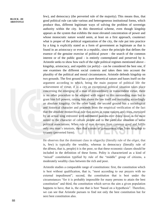few), and democracy (the perverted rule of the majority). This means thus, that good political rule can take various and heterogeneous institutional forms, which produce thus, different legitimate ways of solving the problem of sovereign authority within the city. In this theoretical scheme, even though kingship appears as the system that exhibits the most elevated concentration of power and whose monocratic nature would seem, at least on a first approach, counteract what is proper of the political organization of the city, the rule put into practice by a king is explicitly stated as a form of government as legitimate as that is found in an aristocracy or even in a republic, since the principle that defines the essence of the genuine exercise of political power - the search of the common interest or of the public good - is entirely contemplated and preserved by it. Aristotle seeks to show how each of the right political regimes mentioned above kingship, aristocracy, and republic (or *polity*) - can be considered the best one, if one examines the different social contexts and takes then into account the plurality of the political and moral circumstances. Aristotle defends kingship on two grounds. The first ground has a pure theoretical nature and bases itself on the argument according to which, being the main purpose of political life the achievement of virtue, if in a city an exceptional political situation takes place concerning the emerging of a man of extraordinary or transcendent virtue, there is no other procedure to be adopted with regard to this outstanding man but to grant him full powers, raising him above the law itself and instituting accordingly an absolute kingship. On the other hand, the second ground has a sociological and historical character and proceeds from the empirical verification of the fact that the absolute monarchical rule that exists in some nations and cities, exercised by an actual king entrusted with unfettered powers over every issue, is the most suited to the character of certain people and to the particular situation of some political associations. When rule of man deviates from common good and fulfils only one man's interests, then that system of government slips from kingship to tyranny (perverted form).

He observes that the dominant class in oligarchy (literally rule of the *oligoi*, that is, few) is typically the wealthy, whereas in democracy (literally rule of the *dêmos*, that is, people) it is the poor, so that these economic classes should be included in the definition of these forms. Polity is characterized as a kind of "mixed" constitution typified by rule of the "middle" group of citizens, a moderately wealthy class between the rich and poor.

Aristotle studies a comparable range of constitutions: first, the constitution which is best without qualification, that is, "most according to our prayers with no external impediment"; second, the constitution that is best under the circumstances "for it is probably impossible for many persons to attain the best constitution" and third, the constitution which serves the aim a given population happens to have, that is, the one that is best "based on a hypothesis". Therefore, we can see that Aristotle pursues to find not only the best constitution but for next best constitution also.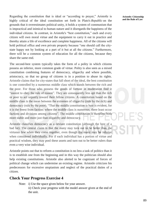Regarding the constitution that is ideal or "according to prayer," Aristotle is highly critical of the ideal constitution set forth in Plato's *Republic* on the grounds that it overestimates political unity, it holds a system of communism that is impractical and inimical to human nature and it disregards the happiness of the individual citizens. In contrast, in Aristotle's "best constitution," each and every citizen will own moral virtue and the equipment to carry it out in practice and thereby attain a life of excellence and complete happiness. All of the citizens will hold political office and own private property because "one should call the citystate happy not by looking at a part of it but at all the citizens." Furthermore, there will be a common system of education for all the citizens, because they share the same end.

The second-best system typically takes the form of a polity in which citizens possess an inferior, more common grade of virtue. Polity is also seen as a mixed constitution combining features of democracy, oligarchy and where possible, aristocracy, so that no group of citizens is in a position to abuse its rights. Aristotle claims that for city-states that fall short of the ideal, the best constitution is one controlled by a numerous middle class which stands between the rich and the poor. For those who possess the goods of fortune in moderation find it "easiest to obey the rule of reason". They are consequently less apt than the rich or poor to act unjustly toward their fellow citizens. A constitution based on the middle class is the mean between the extremes of oligarchy (rule by the rich) and democracy (rule by the poor). "That the middle constitution is best is evident, for it is the freest from faction: where the middle class is numerous, there least occur factions and divisions among citizens". The middle constitution is therefore both more stable and more just than oligarchy and democracy.

Aristotle classifies democracy as a deviant constitution (although the best of a bad lot). The central claim is that the many may turn out to be better than the virtuous few when they come together, even though the many may be inferior when considered individually. For if each individual has a portion of virtue and practical wisdom, they may pool these assets and turn out to be better rulers than even a very wise individual.

Aristotle points out that to reform a constitution is no less a task of politics than it is to establish one from the beginning and in this way the politician should also help existing constitutions. Aristotle also alerted to be cognizant of forces of political change which can undermine an existing regime. Aristotle criticizes his predecessors for excessive utopianism and neglect of the practical duties of a citizen.

## **Check Your Progress Exercise 4**

Note: i) Use the space given below for your answer.

ii) Check your progress with the model answer given at the end of the unit.

**Aristotle: Citizenship and the Rule of Law**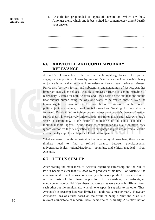1. Aristotle has propounded six types of constitution. Which are they? Amongst them, which one is best suited for contemporary times? Justify your answer.

…………………………………………………………………………...…… …………………………………………………………………………...…… …………………………………………………………………………...…… …………………………………………………………………………...…… …………………………………………………………………………...…… …………………………………………………………………………...……

## **6.6 ARISTOTLE AND CONTEMPORARY RELEVANCE**

Aristotle's relevance lies in the fact that he brought significance of empirical engagement in political philosophy. Aristotle's influence on John Rawls's theory of justice is more than evident. Like Aristotle, Rawls treats justice as fairness. Rawls also borrows formal and substantive understandings of justice. Another important fact which reflects Aristotle's impact on Rawls is seen in 'principle of reciprocity'. Justice for both Aristotle and Rawls rests on the fact that one should treat another human being the way one wants to be treated oneself. Even the human rights discourse reflects this contribution of Aristotle. In the modern political judicial structure, rule of law is followed and 'treating like cases alike' is followed. Rawls failed to imbibe certain values in Aristotle's theory of justice. Rawls theory is excessively universalistic and rationalistic and lacks Aristotle's sense of community, of the historical rootedness of the ethical conduct of individual moral agents. In the theory of communitarians like MacIntyre, they ignore Aristotle's theory of justice where weightage is given to universally valid and rationally apprehensible principles of natural justice.

What we learn from above insight is that even today philosophers, theorists and thinkers need to find a refined balance between physical/social, universal/particular, rational/irrational, just/unjust and ethical/unethical – from Aristotle.

#### **6.7 LET US SUM UP**

After reading the main ideas of Aristotle regarding citizenship and the rule of law, it becomes clear that his ideas were products of his time. For Aristotle, the universal adult franchise was not a reality as he was a product of society divided on the basis of the binary opposition of master/slave; native/foreigner, man/woman, adult/child. Here these two categories were not only different from each other but hierarchical also wherein one aspect is superior to the other. Thus, Aristotle's citizenship idea was limited to 'adult native master man'. However, Aristotle's idea of citizen based on the virtue of being a ruler and ruled is a relevant cornerstone of modern liberal democracies. Similarly, Aristotle's notion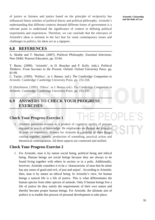of justice as fairness and justice based on the principle of reciprocity has influenced future scholars of political theory and political philosophy. Aristotle's understanding that different contexts demand different forms of government is a relevant point to understand the significance of context in defining political experiments and experiences. Therefore, we can conclude that the relevance of Aristotle's ideas is eminent in the fact that for some contemporary issues and challenges in politics, his ideas act as a signpost.

#### **6.8 REFERENCES**

A. Skoble and T. Machan. (2007). *Political Philosophy: Essential Selections*. New Delhi: Pearson Education. pp. 53-64.

T. Burns. (2009). 'Aristotle', in D. Boucher and P. Kelly. (eds.). *Political Thinkers: From Socrates to the Present*. Oxford: Oxford University Press. pp. 81-99.

C. Taylor. (1995). 'Politics', in J. Barnes. (ed.). *The Cambridge Companion to Aristotle.* Cambridge: Cambridge University Press. pp. 232-258.

D. Hutchinson. (1995). 'Ethics', in J. Barnes (ed.). *The Cambridge Companion to Aristotle.* Cambridge: Cambridge University Press. pp. 195-232.

#### **6.9 ANSWERS TO CHECK YOUR PROGRESS EXERCISES**

#### **Check Your Progress Exercise 1**

1. Aristotle perceives science as a product of cognitive quality of persons engaged in search of knowledge. He emphasises on change and plurality of truth we experience. Science for Aristotle is a product of three things coming together, namely, production of something, practical action and theoretical contemplation. All three aspects are connected and unified.

## **Check Your Progress Exercise 2**

1. For Aristotle, man is by nature social being, political being and ethical being. Human beings are social beings because they are always to be found living together with others in society or in a polis. Additionally, however, Aristotle considers it to be a 'characteristic of man that he alone has any sense of good and evil, of just and unjust'. According to Aristotle, then, man is by nature an ethical being. In Aristotle's view, for human beings a natural life is a life of justice. This is what differentiates the human species from other species of animals. Only if human beings live a life of justice do they satisfy the requirements of their own nature and thereby become proper human beings. For Aristotle, the ultimate aim of politics is to enable this process of personal development to take place.

**Aristotle: Citizenship and the Rule of Law**